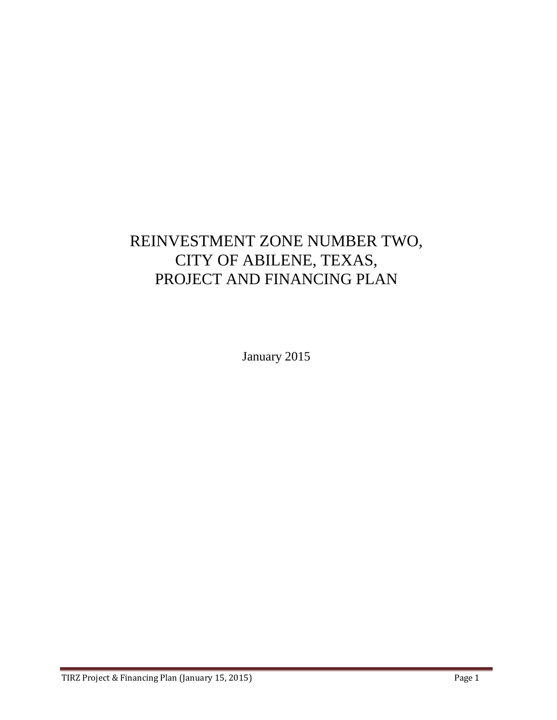## REINVESTMENT ZONE NUMBER TWO, CITY OF ABILENE, TEXAS, PROJECT AND FINANCING PLAN

January 2015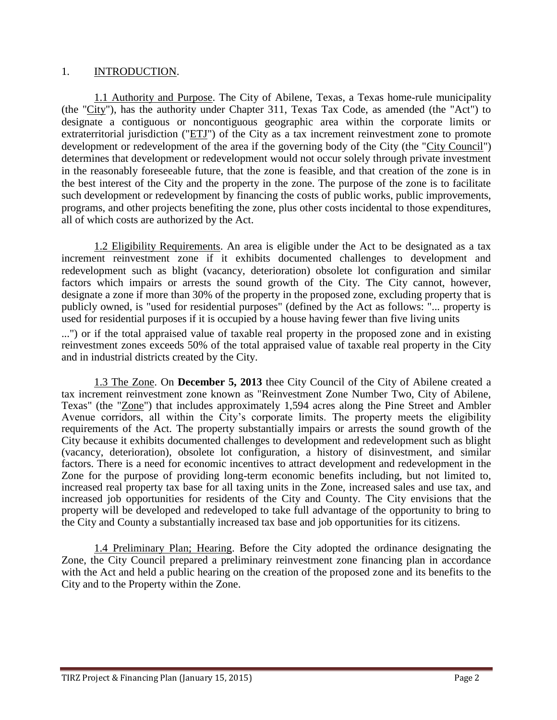### 1. INTRODUCTION.

1.1 Authority and Purpose. The City of Abilene, Texas, a Texas home-rule municipality (the "City"), has the authority under Chapter 311, Texas Tax Code, as amended (the "Act") to designate a contiguous or noncontiguous geographic area within the corporate limits or extraterritorial jurisdiction (" $ETJ$ ") of the City as a tax increment reinvestment zone to promote development or redevelopment of the area if the governing body of the City (the "City Council") determines that development or redevelopment would not occur solely through private investment in the reasonably foreseeable future, that the zone is feasible, and that creation of the zone is in the best interest of the City and the property in the zone. The purpose of the zone is to facilitate such development or redevelopment by financing the costs of public works, public improvements, programs, and other projects benefiting the zone, plus other costs incidental to those expenditures, all of which costs are authorized by the Act.

1.2 Eligibility Requirements. An area is eligible under the Act to be designated as a tax increment reinvestment zone if it exhibits documented challenges to development and redevelopment such as blight (vacancy, deterioration) obsolete lot configuration and similar factors which impairs or arrests the sound growth of the City. The City cannot, however, designate a zone if more than 30% of the property in the proposed zone, excluding property that is publicly owned, is "used for residential purposes" (defined by the Act as follows: "... property is used for residential purposes if it is occupied by a house having fewer than five living units

...") or if the total appraised value of taxable real property in the proposed zone and in existing reinvestment zones exceeds 50% of the total appraised value of taxable real property in the City and in industrial districts created by the City.

1.3 The Zone. On **December 5, 2013** thee City Council of the City of Abilene created a tax increment reinvestment zone known as "Reinvestment Zone Number Two, City of Abilene, Texas" (the "Zone") that includes approximately 1,594 acres along the Pine Street and Ambler Avenue corridors, all within the City's corporate limits. The property meets the eligibility requirements of the Act. The property substantially impairs or arrests the sound growth of the City because it exhibits documented challenges to development and redevelopment such as blight (vacancy, deterioration), obsolete lot configuration, a history of disinvestment, and similar factors. There is a need for economic incentives to attract development and redevelopment in the Zone for the purpose of providing long-term economic benefits including, but not limited to, increased real property tax base for all taxing units in the Zone, increased sales and use tax, and increased job opportunities for residents of the City and County. The City envisions that the property will be developed and redeveloped to take full advantage of the opportunity to bring to the City and County a substantially increased tax base and job opportunities for its citizens.

1.4 Preliminary Plan; Hearing. Before the City adopted the ordinance designating the Zone, the City Council prepared a preliminary reinvestment zone financing plan in accordance with the Act and held a public hearing on the creation of the proposed zone and its benefits to the City and to the Property within the Zone.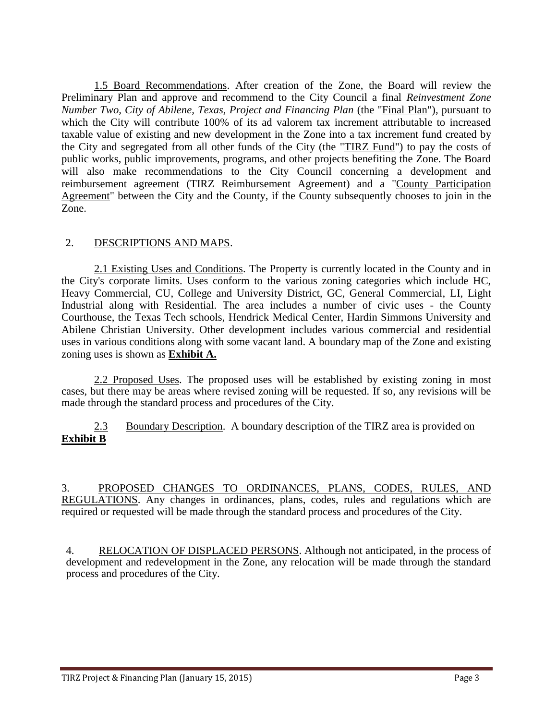1.5 Board Recommendations. After creation of the Zone, the Board will review the Preliminary Plan and approve and recommend to the City Council a final *Reinvestment Zone Number Two, City of Abilene, Texas, Project and Financing Plan* (the "Final Plan"), pursuant to which the City will contribute 100% of its ad valorem tax increment attributable to increased taxable value of existing and new development in the Zone into a tax increment fund created by the City and segregated from all other funds of the City (the "TIRZ Fund") to pay the costs of public works, public improvements, programs, and other projects benefiting the Zone. The Board will also make recommendations to the City Council concerning a development and reimbursement agreement (TIRZ Reimbursement Agreement) and a "County Participation Agreement" between the City and the County, if the County subsequently chooses to join in the Zone.

### 2. DESCRIPTIONS AND MAPS.

2.1 Existing Uses and Conditions. The Property is currently located in the County and in the City's corporate limits. Uses conform to the various zoning categories which include HC, Heavy Commercial, CU, College and University District, GC, General Commercial, LI, Light Industrial along with Residential. The area includes a number of civic uses - the County Courthouse, the Texas Tech schools, Hendrick Medical Center, Hardin Simmons University and Abilene Christian University. Other development includes various commercial and residential uses in various conditions along with some vacant land. A boundary map of the Zone and existing zoning uses is shown as **Exhibit A.**

2.2 Proposed Uses. The proposed uses will be established by existing zoning in most cases, but there may be areas where revised zoning will be requested. If so, any revisions will be made through the standard process and procedures of the City.

2.3 Boundary Description. A boundary description of the TIRZ area is provided on **Exhibit B**

3. PROPOSED CHANGES TO ORDINANCES, PLANS, CODES, RULES, AND REGULATIONS. Any changes in ordinances, plans, codes, rules and regulations which are required or requested will be made through the standard process and procedures of the City.

4. RELOCATION OF DISPLACED PERSONS. Although not anticipated, in the process of development and redevelopment in the Zone, any relocation will be made through the standard process and procedures of the City.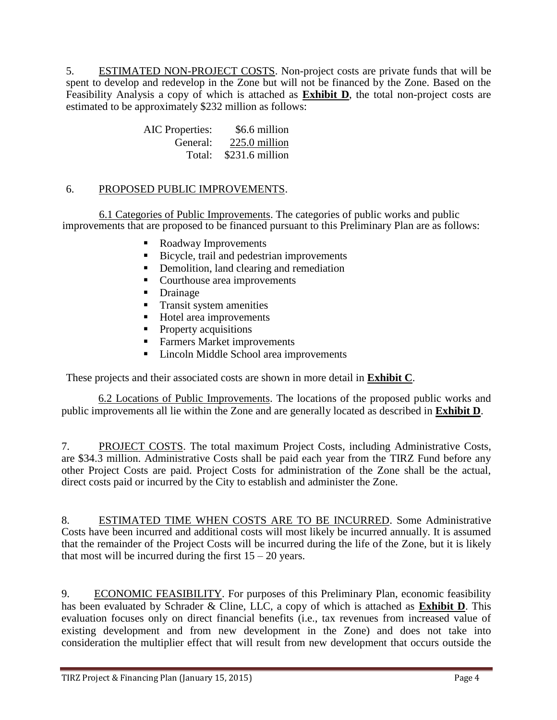5. ESTIMATED NON-PROJECT COSTS. Non-project costs are private funds that will be spent to develop and redevelop in the Zone but will not be financed by the Zone. Based on the Feasibility Analysis a copy of which is attached as **Exhibit D**, the total non-project costs are estimated to be approximately \$232 million as follows:

> AIC Properties: \$6.6 million General: 225.0 million Total: \$231.6 million

### 6. PROPOSED PUBLIC IMPROVEMENTS.

6.1 Categories of Public Improvements. The categories of public works and public improvements that are proposed to be financed pursuant to this Preliminary Plan are as follows:

- Roadway Improvements
- Bicycle, trail and pedestrian improvements
- Demolition, land clearing and remediation
- Courthouse area improvements
- Drainage
- **Transit system amenities**
- Hotel area improvements
- Property acquisitions
- **Farmers Market improvements**
- Lincoln Middle School area improvements

These projects and their associated costs are shown in more detail in **Exhibit C**.

6.2 Locations of Public Improvements. The locations of the proposed public works and public improvements all lie within the Zone and are generally located as described in **Exhibit D**.

7. PROJECT COSTS. The total maximum Project Costs, including Administrative Costs, are \$34.3 million. Administrative Costs shall be paid each year from the TIRZ Fund before any other Project Costs are paid. Project Costs for administration of the Zone shall be the actual, direct costs paid or incurred by the City to establish and administer the Zone.

8. ESTIMATED TIME WHEN COSTS ARE TO BE INCURRED. Some Administrative Costs have been incurred and additional costs will most likely be incurred annually. It is assumed that the remainder of the Project Costs will be incurred during the life of the Zone, but it is likely that most will be incurred during the first  $15 - 20$  years.

9. ECONOMIC FEASIBILITY. For purposes of this Preliminary Plan, economic feasibility has been evaluated by Schrader & Cline, LLC, a copy of which is attached as **Exhibit D**. This evaluation focuses only on direct financial benefits (i.e., tax revenues from increased value of existing development and from new development in the Zone) and does not take into consideration the multiplier effect that will result from new development that occurs outside the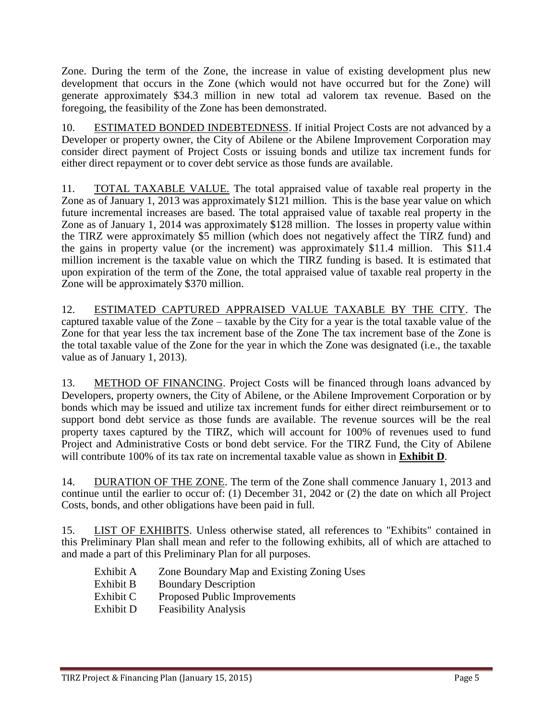Zone. During the term of the Zone, the increase in value of existing development plus new development that occurs in the Zone (which would not have occurred but for the Zone) will generate approximately \$34.3 million in new total ad valorem tax revenue. Based on the foregoing, the feasibility of the Zone has been demonstrated.

10. ESTIMATED BONDED INDEBTEDNESS. If initial Project Costs are not advanced by a Developer or property owner, the City of Abilene or the Abilene Improvement Corporation may consider direct payment of Project Costs or issuing bonds and utilize tax increment funds for either direct repayment or to cover debt service as those funds are available.

11. TOTAL TAXABLE VALUE. The total appraised value of taxable real property in the Zone as of January 1, 2013 was approximately \$121 million. This is the base year value on which future incremental increases are based. The total appraised value of taxable real property in the Zone as of January 1, 2014 was approximately \$128 million. The losses in property value within the TIRZ were approximately \$5 million (which does not negatively affect the TIRZ fund) and the gains in property value (or the increment) was approximately \$11.4 million. This \$11.4 million increment is the taxable value on which the TIRZ funding is based. It is estimated that upon expiration of the term of the Zone, the total appraised value of taxable real property in the Zone will be approximately \$370 million.

12. ESTIMATED CAPTURED APPRAISED VALUE TAXABLE BY THE CITY. The captured taxable value of the Zone – taxable by the City for a year is the total taxable value of the Zone for that year less the tax increment base of the Zone The tax increment base of the Zone is the total taxable value of the Zone for the year in which the Zone was designated (i.e., the taxable value as of January 1, 2013).

13. METHOD OF FINANCING. Project Costs will be financed through loans advanced by Developers, property owners, the City of Abilene, or the Abilene Improvement Corporation or by bonds which may be issued and utilize tax increment funds for either direct reimbursement or to support bond debt service as those funds are available. The revenue sources will be the real property taxes captured by the TIRZ, which will account for 100% of revenues used to fund Project and Administrative Costs or bond debt service. For the TIRZ Fund, the City of Abilene will contribute 100% of its tax rate on incremental taxable value as shown in **Exhibit D**.

14. DURATION OF THE ZONE. The term of the Zone shall commence January 1, 2013 and continue until the earlier to occur of: (1) December 31, 2042 or (2) the date on which all Project Costs, bonds, and other obligations have been paid in full.

15. LIST OF EXHIBITS. Unless otherwise stated, all references to "Exhibits" contained in this Preliminary Plan shall mean and refer to the following exhibits, all of which are attached to and made a part of this Preliminary Plan for all purposes.

- Exhibit A Zone Boundary Map and Existing Zoning Uses
- Exhibit B Boundary Description
- Exhibit C Proposed Public Improvements
- Exhibit D Feasibility Analysis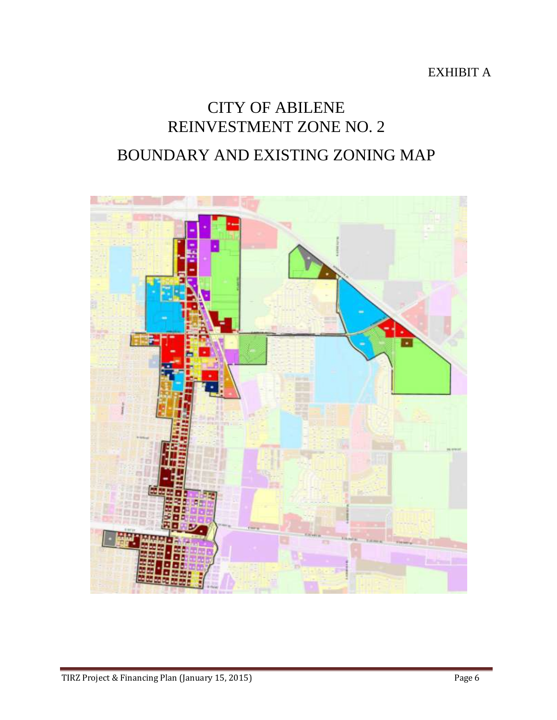EXHIBIT A

# CITY OF ABILENE REINVESTMENT ZONE NO. 2 BOUNDARY AND EXISTING ZONING MAP

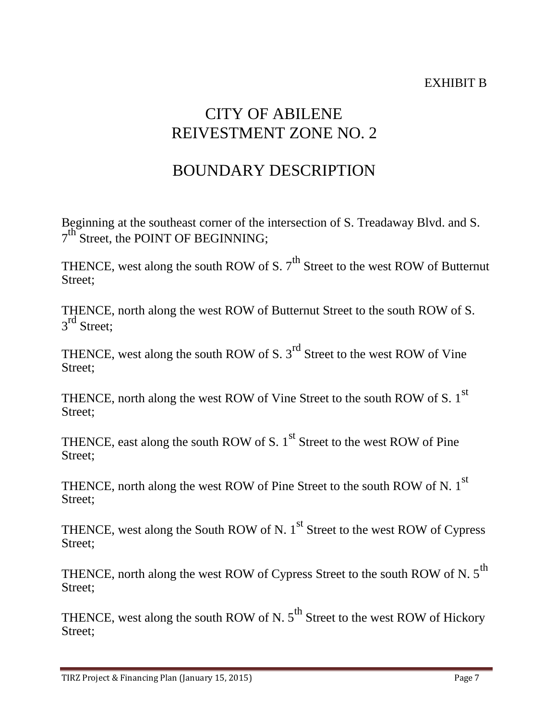### EXHIBIT B

## CITY OF ABILENE REIVESTMENT ZONE NO. 2

## BOUNDARY DESCRIPTION

Beginning at the southeast corner of the intersection of S. Treadaway Blvd. and S.  $7^{\text{th}}$  Street, the POINT OF BEGINNING;

THENCE, west along the south ROW of S.  $7<sup>th</sup>$  Street to the west ROW of Butternut Street:

THENCE, north along the west ROW of Butternut Street to the south ROW of S.  $3<sup>rd</sup>$  Street;

THENCE, west along the south ROW of S.  $3<sup>rd</sup>$  Street to the west ROW of Vine Street:

THENCE, north along the west ROW of Vine Street to the south ROW of S.  $1^{st}$ Street;

THENCE, east along the south ROW of S.  $1<sup>st</sup>$  Street to the west ROW of Pine Street:

THENCE, north along the west ROW of Pine Street to the south ROW of N.  $1^{st}$ Street:

THENCE, west along the South ROW of N.  $1<sup>st</sup>$  Street to the west ROW of Cypress Street;

THENCE, north along the west ROW of Cypress Street to the south ROW of N.  $5^{\text{th}}$ Street:

THENCE, west along the south ROW of N.  $5^{th}$  Street to the west ROW of Hickory Street: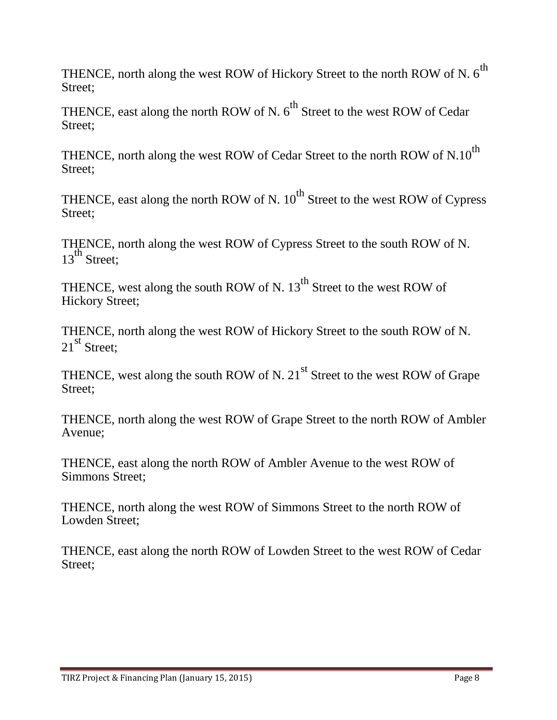THENCE, north along the west ROW of Hickory Street to the north ROW of N.  $6^{th}$ Street;

THENCE, east along the north ROW of N.  $6^{th}$  Street to the west ROW of Cedar Street;

THENCE, north along the west ROW of Cedar Street to the north ROW of N.10<sup>th</sup> Street;

THENCE, east along the north ROW of N.  $10^{th}$  Street to the west ROW of Cypress Street:

THENCE, north along the west ROW of Cypress Street to the south ROW of N.  $13^{th}$  Street;

THENCE, west along the south ROW of N.  $13<sup>th</sup>$  Street to the west ROW of Hickory Street;

THENCE, north along the west ROW of Hickory Street to the south ROW of N. 21<sup>st</sup> Street:

THENCE, west along the south ROW of N. 21<sup>st</sup> Street to the west ROW of Grape Street:

THENCE, north along the west ROW of Grape Street to the north ROW of Ambler Avenue;

THENCE, east along the north ROW of Ambler Avenue to the west ROW of Simmons Street;

THENCE, north along the west ROW of Simmons Street to the north ROW of Lowden Street;

THENCE, east along the north ROW of Lowden Street to the west ROW of Cedar Street;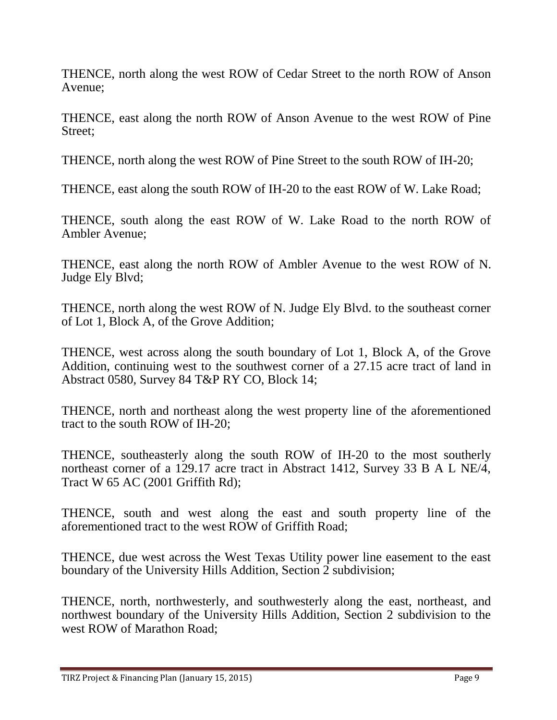THENCE, north along the west ROW of Cedar Street to the north ROW of Anson Avenue;

THENCE, east along the north ROW of Anson Avenue to the west ROW of Pine Street:

THENCE, north along the west ROW of Pine Street to the south ROW of IH-20;

THENCE, east along the south ROW of IH-20 to the east ROW of W. Lake Road;

THENCE, south along the east ROW of W. Lake Road to the north ROW of Ambler Avenue;

THENCE, east along the north ROW of Ambler Avenue to the west ROW of N. Judge Ely Blvd;

THENCE, north along the west ROW of N. Judge Ely Blvd. to the southeast corner of Lot 1, Block A, of the Grove Addition;

THENCE, west across along the south boundary of Lot 1, Block A, of the Grove Addition, continuing west to the southwest corner of a 27.15 acre tract of land in Abstract 0580, Survey 84 T&P RY CO, Block 14;

THENCE, north and northeast along the west property line of the aforementioned tract to the south ROW of IH-20;

THENCE, southeasterly along the south ROW of IH-20 to the most southerly northeast corner of a 129.17 acre tract in Abstract 1412, Survey 33 B A L NE/4, Tract W 65 AC (2001 Griffith Rd);

THENCE, south and west along the east and south property line of the aforementioned tract to the west ROW of Griffith Road;

THENCE, due west across the West Texas Utility power line easement to the east boundary of the University Hills Addition, Section 2 subdivision;

THENCE, north, northwesterly, and southwesterly along the east, northeast, and northwest boundary of the University Hills Addition, Section 2 subdivision to the west ROW of Marathon Road;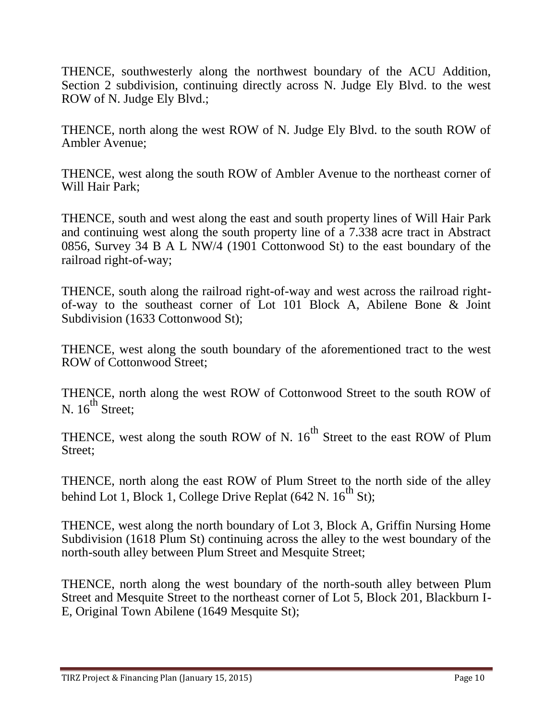THENCE, southwesterly along the northwest boundary of the ACU Addition, Section 2 subdivision, continuing directly across N. Judge Ely Blvd. to the west ROW of N. Judge Ely Blvd.;

THENCE, north along the west ROW of N. Judge Ely Blvd. to the south ROW of Ambler Avenue;

THENCE, west along the south ROW of Ambler Avenue to the northeast corner of Will Hair Park;

THENCE, south and west along the east and south property lines of Will Hair Park and continuing west along the south property line of a 7.338 acre tract in Abstract 0856, Survey 34 B A L NW/4 (1901 Cottonwood St) to the east boundary of the railroad right-of-way;

THENCE, south along the railroad right-of-way and west across the railroad rightof-way to the southeast corner of Lot 101 Block A, Abilene Bone & Joint Subdivision (1633 Cottonwood St);

THENCE, west along the south boundary of the aforementioned tract to the west ROW of Cottonwood Street;

THENCE, north along the west ROW of Cottonwood Street to the south ROW of N.  $16^{th}$  Street;

THENCE, west along the south ROW of N.  $16^{th}$  Street to the east ROW of Plum Street:

THENCE, north along the east ROW of Plum Street to the north side of the alley behind Lot 1, Block 1, College Drive Replat  $(642 \text{ N}, 16^{\text{th}} \text{ St})$ ;

THENCE, west along the north boundary of Lot 3, Block A, Griffin Nursing Home Subdivision (1618 Plum St) continuing across the alley to the west boundary of the north-south alley between Plum Street and Mesquite Street;

THENCE, north along the west boundary of the north-south alley between Plum Street and Mesquite Street to the northeast corner of Lot 5, Block 201, Blackburn I-E, Original Town Abilene (1649 Mesquite St);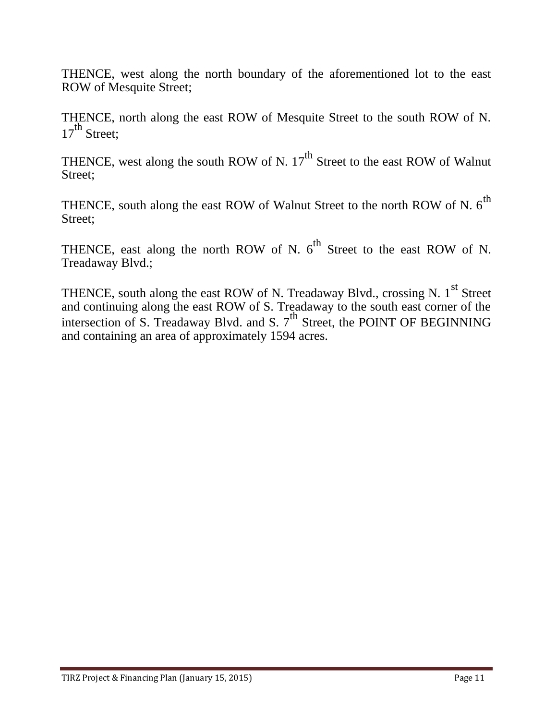THENCE, west along the north boundary of the aforementioned lot to the east ROW of Mesquite Street;

THENCE, north along the east ROW of Mesquite Street to the south ROW of N.  $17<sup>th</sup>$  Street:

THENCE, west along the south ROW of N.  $17<sup>th</sup>$  Street to the east ROW of Walnut Street:

THENCE, south along the east ROW of Walnut Street to the north ROW of N.  $6^{th}$ Street;

THENCE, east along the north ROW of N.  $6^{th}$  Street to the east ROW of N. Treadaway Blvd.;

THENCE, south along the east ROW of N. Treadaway Blvd., crossing N. 1<sup>st</sup> Street and continuing along the east ROW of S. Treadaway to the south east corner of the intersection of S. Treadaway Blvd. and S. 7<sup>th</sup> Street, the POINT OF BEGINNING and containing an area of approximately 1594 acres.